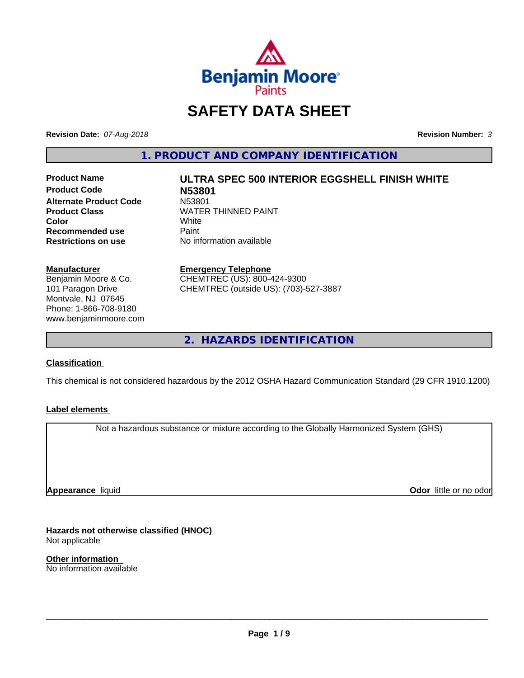

# **SAFETY DATA SHEET**

**Revision Date:** *07-Aug-2018* **Revision Number:** *3*

**1. PRODUCT AND COMPANY IDENTIFICATION**

**Product Code N53801 Alternate Product Code**<br>Product Class **Recommended use** Paint<br> **Restrictions on use** No inf

# **Product Name ULTRA SPEC 500 INTERIOR EGGSHELL FINISH WHITE**

**WATER THINNED PAINT**<br>White **Color** White White **No information available** 

**Manufacturer**

Benjamin Moore & Co. 101 Paragon Drive Montvale, NJ 07645 Phone: 1-866-708-9180 www.benjaminmoore.com

#### **Emergency Telephone**

CHEMTREC (US): 800-424-9300 CHEMTREC (outside US): (703)-527-3887

**2. HAZARDS IDENTIFICATION**

#### **Classification**

This chemical is not considered hazardous by the 2012 OSHA Hazard Communication Standard (29 CFR 1910.1200)

#### **Label elements**

Not a hazardous substance or mixture according to the Globally Harmonized System (GHS)

**Appearance** liquid

**Odor** little or no odor

**Hazards not otherwise classified (HNOC)** Not applicable

**Other information** No information available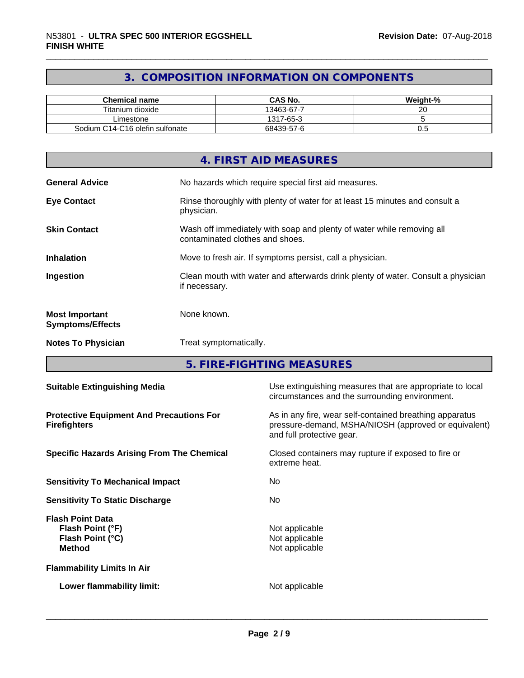# **3. COMPOSITION INFORMATION ON COMPONENTS**

| <b>Chemical name</b>            | <b>CAS No.</b> | Weight-% |
|---------------------------------|----------------|----------|
| Titanium dioxide                | 13463-67-7     | ~~<br>∠∪ |
| ∟imestone                       | 1317-65-3      |          |
| Sodium C14-C16 olefin sulfonate | 68439-57-6     | v.J      |

|                                                  | 4. FIRST AID MEASURES                                                                                    |
|--------------------------------------------------|----------------------------------------------------------------------------------------------------------|
| <b>General Advice</b>                            | No hazards which require special first aid measures.                                                     |
| <b>Eye Contact</b>                               | Rinse thoroughly with plenty of water for at least 15 minutes and consult a<br>physician.                |
| <b>Skin Contact</b>                              | Wash off immediately with soap and plenty of water while removing all<br>contaminated clothes and shoes. |
| <b>Inhalation</b>                                | Move to fresh air. If symptoms persist, call a physician.                                                |
| Ingestion                                        | Clean mouth with water and afterwards drink plenty of water. Consult a physician<br>if necessary.        |
| <b>Most Important</b><br><b>Symptoms/Effects</b> | None known.                                                                                              |
| <b>Notes To Physician</b>                        | Treat symptomatically.                                                                                   |

**5. FIRE-FIGHTING MEASURES**

| <b>Suitable Extinguishing Media</b>                                              | Use extinguishing measures that are appropriate to local<br>circumstances and the surrounding environment.                                   |  |  |
|----------------------------------------------------------------------------------|----------------------------------------------------------------------------------------------------------------------------------------------|--|--|
| <b>Protective Equipment And Precautions For</b><br><b>Firefighters</b>           | As in any fire, wear self-contained breathing apparatus<br>pressure-demand, MSHA/NIOSH (approved or equivalent)<br>and full protective gear. |  |  |
| <b>Specific Hazards Arising From The Chemical</b>                                | Closed containers may rupture if exposed to fire or<br>extreme heat.                                                                         |  |  |
| <b>Sensitivity To Mechanical Impact</b>                                          | No.                                                                                                                                          |  |  |
| <b>Sensitivity To Static Discharge</b>                                           | No.                                                                                                                                          |  |  |
| <b>Flash Point Data</b><br>Flash Point (°F)<br>Flash Point (°C)<br><b>Method</b> | Not applicable<br>Not applicable<br>Not applicable                                                                                           |  |  |
| <b>Flammability Limits In Air</b>                                                |                                                                                                                                              |  |  |
| Lower flammability limit:                                                        | Not applicable                                                                                                                               |  |  |
|                                                                                  |                                                                                                                                              |  |  |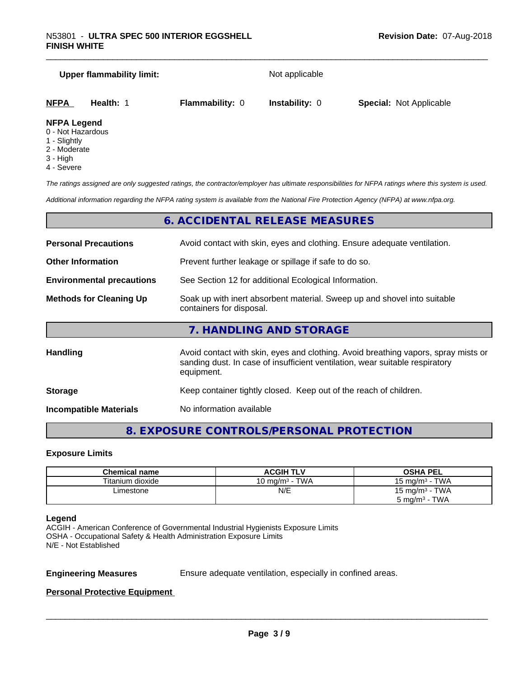# **Upper flammability limit:** Not applicable **NFPA Health:** 1 **Flammability:** 0 **Instability:** 0 **Special:** Not Applicable **NFPA Legend**

- 0 Not Hazardous
- 1 Slightly
- 2 Moderate
- 3 High
- 4 Severe

*The ratings assigned are only suggested ratings, the contractor/employer has ultimate responsibilities for NFPA ratings where this system is used.*

*Additional information regarding the NFPA rating system is available from the National Fire Protection Agency (NFPA) at www.nfpa.org.*

# **6. ACCIDENTAL RELEASE MEASURES**

| <b>Personal Precautions</b>                                                                                                            | Avoid contact with skin, eyes and clothing. Ensure adequate ventilation.                                                                                                         |  |  |
|----------------------------------------------------------------------------------------------------------------------------------------|----------------------------------------------------------------------------------------------------------------------------------------------------------------------------------|--|--|
| <b>Other Information</b>                                                                                                               | Prevent further leakage or spillage if safe to do so.                                                                                                                            |  |  |
| <b>Environmental precautions</b>                                                                                                       | See Section 12 for additional Ecological Information.                                                                                                                            |  |  |
| Soak up with inert absorbent material. Sweep up and shovel into suitable<br><b>Methods for Cleaning Up</b><br>containers for disposal. |                                                                                                                                                                                  |  |  |
|                                                                                                                                        | 7. HANDLING AND STORAGE                                                                                                                                                          |  |  |
| <b>Handling</b>                                                                                                                        | Avoid contact with skin, eyes and clothing. Avoid breathing vapors, spray mists or<br>sanding dust. In case of insufficient ventilation, wear suitable respiratory<br>equipment. |  |  |
|                                                                                                                                        |                                                                                                                                                                                  |  |  |

**Storage Storage Keep container tightly closed. Keep out of the reach of children.** 

**Incompatible Materials** No information available

# **8. EXPOSURE CONTROLS/PERSONAL PROTECTION**

# **Exposure Limits**

| <b>Chemical name</b> | <b>ACGIH TLV</b>  | <b>OSHA PEL</b>          |
|----------------------|-------------------|--------------------------|
| Titanium dioxide     | 10 mg/m $3$ - TWA | 15 mg/m $3$ - TWA        |
| ∟imestone            | N/E               | 15 mg/m $3$ - TWA        |
|                      |                   | $5 \text{ mg/m}^3$ - TWA |

#### **Legend**

ACGIH - American Conference of Governmental Industrial Hygienists Exposure Limits OSHA - Occupational Safety & Health Administration Exposure Limits N/E - Not Established

**Engineering Measures** Ensure adequate ventilation, especially in confined areas.

 $\overline{\phantom{a}}$  ,  $\overline{\phantom{a}}$  ,  $\overline{\phantom{a}}$  ,  $\overline{\phantom{a}}$  ,  $\overline{\phantom{a}}$  ,  $\overline{\phantom{a}}$  ,  $\overline{\phantom{a}}$  ,  $\overline{\phantom{a}}$  ,  $\overline{\phantom{a}}$  ,  $\overline{\phantom{a}}$  ,  $\overline{\phantom{a}}$  ,  $\overline{\phantom{a}}$  ,  $\overline{\phantom{a}}$  ,  $\overline{\phantom{a}}$  ,  $\overline{\phantom{a}}$  ,  $\overline{\phantom{a}}$ 

#### **Personal Protective Equipment**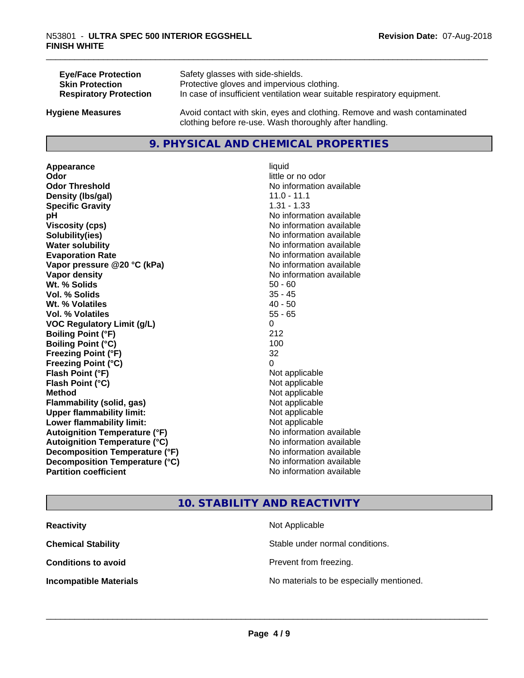| <b>Eye/Face Protection</b>    | Safety glasses with side-shields.                                        |
|-------------------------------|--------------------------------------------------------------------------|
| <b>Skin Protection</b>        | Protective gloves and impervious clothing.                               |
| <b>Respiratory Protection</b> | In case of insufficient ventilation wear suitable respiratory equipment. |
| <b>Hygiene Measures</b>       | Avoid contact with skin, eyes and clothing. Remove and wash contaminated |

#### **9. PHYSICAL AND CHEMICAL PROPERTIES**

clothing before re-use. Wash thoroughly after handling.

**Appearance** liquid **Odor** little or no odor **Odor Threshold No information available No information available Density (lbs/gal)** 11.0 - 11.1 **Specific Gravity** 1.31 - 1.33 **pH**<br>
Viscosity (cps) The Contract of the Contract of the Viscosity (cps) **Viscosity (cps)** <br> **Viscosity (cps)** No information available<br>
No information available<br>
No information available **Water solubility Water solubility Water solubility Water solubility Water solubility Water solution Evaporation Rate No information available No information available Vapor pressure @20 °C (kPa)** No information available **Vapor density No information available Wt. % Solids** 50 - 60<br> **Vol. % Solids** 50 - 60<br> **Vol. % Solids** 50 - 45 **Vol. % Solids Wt. % Volatiles** 40 - 50 **Vol. % Volatiles** 55 - 65 **VOC Regulatory Limit (g/L)** 0 **Boiling Point (°F)** 212 **Boiling Point**  $(^{\circ}C)$  100 **Freezing Point (°F)** 32 **Freezing Point (°C)** 0 **Flash Point (°F)**<br> **Flash Point (°C)**<br> **Flash Point (°C)**<br> **Point (°C) Flash Point (°C) Method** Not applicable **Flammability (solid, gas)** Not applicable **Upper flammability limit:** Not applicable **Lower flammability limit:** Not applicable **Autoignition Temperature (°F)** No information available **Autoignition Temperature (°C)** No information available **Decomposition Temperature (°F)**<br> **Decomposition Temperature (°C)** No information available **Decomposition Temperature (°C)**<br>Partition coefficient

**Solubility(ies)** No information available **No information available** 

# **10. STABILITY AND REACTIVITY**

| <b>Reactivity</b>             | Not Applicable                           |
|-------------------------------|------------------------------------------|
| <b>Chemical Stability</b>     | Stable under normal conditions.          |
| <b>Conditions to avoid</b>    | Prevent from freezing.                   |
| <b>Incompatible Materials</b> | No materials to be especially mentioned. |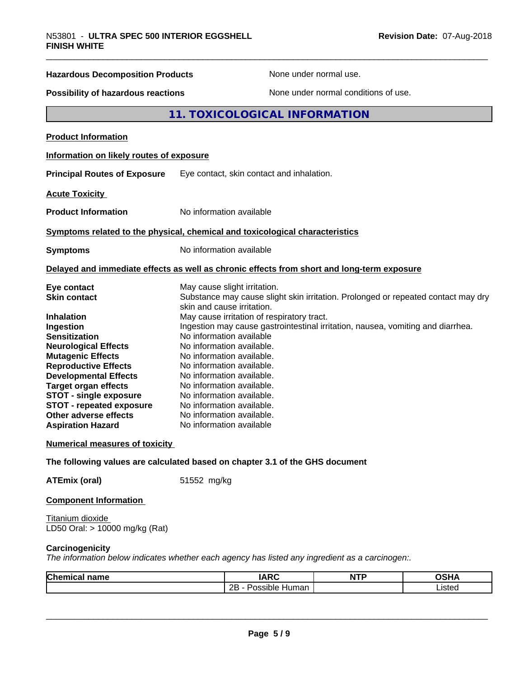| N53801 - ULTRA SPEC 500 INTERIOR EGGSHELL<br><b>FINISH WHITE</b>              |                                            | Revision Date: 07-Aug-2018                                                                 |  |
|-------------------------------------------------------------------------------|--------------------------------------------|--------------------------------------------------------------------------------------------|--|
| <b>Hazardous Decomposition Products</b><br>Possibility of hazardous reactions |                                            | None under normal use.                                                                     |  |
|                                                                               |                                            | None under normal conditions of use.                                                       |  |
|                                                                               |                                            | 11. TOXICOLOGICAL INFORMATION                                                              |  |
| <b>Product Information</b>                                                    |                                            |                                                                                            |  |
| Information on likely routes of exposure                                      |                                            |                                                                                            |  |
| <b>Principal Routes of Exposure</b>                                           | Eye contact, skin contact and inhalation.  |                                                                                            |  |
| <b>Acute Toxicity</b>                                                         |                                            |                                                                                            |  |
| <b>Product Information</b>                                                    | No information available                   |                                                                                            |  |
| Symptoms related to the physical, chemical and toxicological characteristics  |                                            |                                                                                            |  |
| <b>Symptoms</b>                                                               | No information available                   |                                                                                            |  |
|                                                                               |                                            | Delayed and immediate effects as well as chronic effects from short and long-term exposure |  |
| Eye contact                                                                   | May cause slight irritation.               |                                                                                            |  |
| <b>Skin contact</b>                                                           | skin and cause irritation.                 | Substance may cause slight skin irritation. Prolonged or repeated contact may dry          |  |
| <b>Inhalation</b>                                                             | May cause irritation of respiratory tract. |                                                                                            |  |
| Ingestion                                                                     |                                            | Ingestion may cause gastrointestinal irritation, nausea, vomiting and diarrhea.            |  |
| <b>Sensitization</b>                                                          | No information available                   |                                                                                            |  |
| <b>Neurological Effects</b>                                                   | No information available.                  |                                                                                            |  |
| <b>Mutagenic Effects</b>                                                      | No information available.                  |                                                                                            |  |
| <b>Reproductive Effects</b>                                                   | No information available.                  |                                                                                            |  |
| <b>Developmental Effects</b>                                                  | No information available.                  |                                                                                            |  |
| <b>Target organ effects</b>                                                   | No information available.                  |                                                                                            |  |
| <b>STOT - single exposure</b>                                                 | No information available.                  |                                                                                            |  |
| <b>STOT - repeated exposure</b>                                               | No information available.                  |                                                                                            |  |
| Other adverse effects                                                         | No information available.                  |                                                                                            |  |
| <b>Aspiration Hazard</b>                                                      | No information available                   |                                                                                            |  |
| <b>Numerical measures of toxicity</b>                                         |                                            |                                                                                            |  |
| The following values are calculated based on chapter 3.1 of the GHS document  |                                            |                                                                                            |  |
| <b>ATEmix (oral)</b>                                                          | 51552 mg/kg                                |                                                                                            |  |
| <b>Component Information</b>                                                  |                                            |                                                                                            |  |

Titanium dioxide LD50 Oral: > 10000 mg/kg (Rat)

### **Carcinogenicity**

*The information below indicateswhether each agency has listed any ingredient as a carcinogen:.*

| Chemical<br>name | $\overline{ }$<br>A              | <b>ITE</b><br>n.<br>. | <b>OCUM</b><br>$\sim 10^{-1}$ |
|------------------|----------------------------------|-----------------------|-------------------------------|
|                  | <br>クロ<br>Possible<br>Human<br>ᅩ |                       | .00107<br>Listeu<br>.         |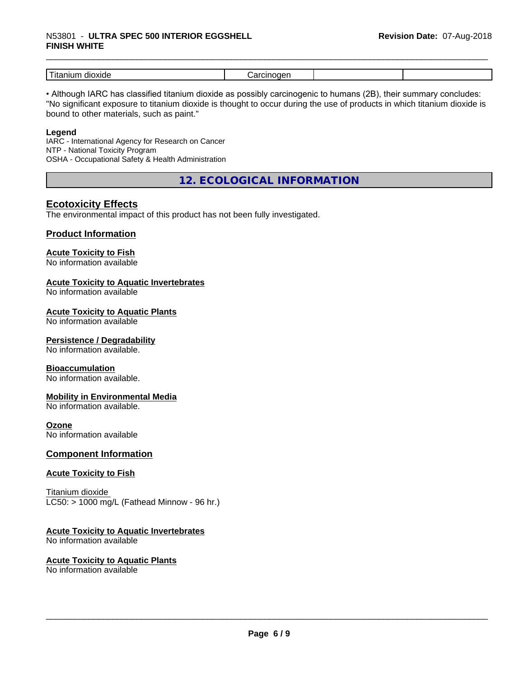# \_\_\_\_\_\_\_\_\_\_\_\_\_\_\_\_\_\_\_\_\_\_\_\_\_\_\_\_\_\_\_\_\_\_\_\_\_\_\_\_\_\_\_\_\_\_\_\_\_\_\_\_\_\_\_\_\_\_\_\_\_\_\_\_\_\_\_\_\_\_\_\_\_\_\_\_\_\_\_\_\_\_\_\_\_\_\_\_\_\_\_\_\_ N53801 - **ULTRA SPEC <sup>500</sup> INTERIOR EGGSHELL FINISH WHITE**

| -<br>dioxide<br>---<br>шл<br>1 L c |  |  |
|------------------------------------|--|--|

• Although IARC has classified titanium dioxide as possibly carcinogenic to humans (2B), their summary concludes: "No significant exposure to titanium dioxide is thought to occur during the use of products in which titanium dioxide is bound to other materials, such as paint."

#### **Legend**

IARC - International Agency for Research on Cancer NTP - National Toxicity Program OSHA - Occupational Safety & Health Administration

**12. ECOLOGICAL INFORMATION**

# **Ecotoxicity Effects**

The environmental impact of this product has not been fully investigated.

#### **Product Information**

# **Acute Toxicity to Fish**

No information available

#### **Acute Toxicity to Aquatic Invertebrates**

No information available

#### **Acute Toxicity to Aquatic Plants**

No information available

#### **Persistence / Degradability**

No information available.

#### **Bioaccumulation**

No information available.

#### **Mobility in Environmental Media**

No information available.

#### **Ozone**

No information available

#### **Component Information**

#### **Acute Toxicity to Fish**

Titanium dioxide  $LC50:$  > 1000 mg/L (Fathead Minnow - 96 hr.)

#### **Acute Toxicity to Aquatic Invertebrates**

No information available

# **Acute Toxicity to Aquatic Plants**

No information available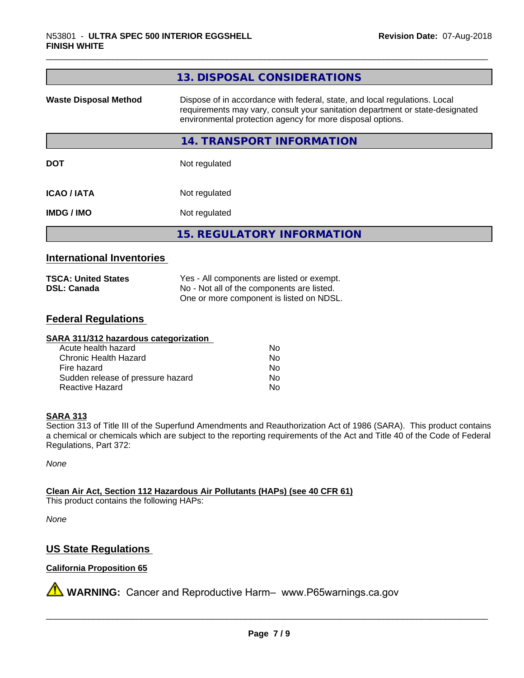|                              | 13. DISPOSAL CONSIDERATIONS                                                                                                                                                                                               |
|------------------------------|---------------------------------------------------------------------------------------------------------------------------------------------------------------------------------------------------------------------------|
| <b>Waste Disposal Method</b> | Dispose of in accordance with federal, state, and local regulations. Local<br>requirements may vary, consult your sanitation department or state-designated<br>environmental protection agency for more disposal options. |
|                              | 14. TRANSPORT INFORMATION                                                                                                                                                                                                 |
| <b>DOT</b>                   | Not regulated                                                                                                                                                                                                             |
| <b>ICAO/IATA</b>             | Not regulated                                                                                                                                                                                                             |
| <b>IMDG/IMO</b>              | Not regulated                                                                                                                                                                                                             |
|                              | <b>15. REGULATORY INFORMATION</b>                                                                                                                                                                                         |

### **International Inventories**

| <b>TSCA: United States</b> | Yes - All components are listed or exempt. |  |
|----------------------------|--------------------------------------------|--|
| <b>DSL: Canada</b>         | No - Not all of the components are listed. |  |
|                            | One or more component is listed on NDSL.   |  |

### **Federal Regulations**

| SARA 311/312 hazardous categorization |    |  |
|---------------------------------------|----|--|
| Acute health hazard                   | Nο |  |
| Chronic Health Hazard                 | No |  |
| Fire hazard                           | No |  |
| Sudden release of pressure hazard     | No |  |
| Reactive Hazard                       | No |  |

#### **SARA 313**

Section 313 of Title III of the Superfund Amendments and Reauthorization Act of 1986 (SARA). This product contains a chemical or chemicals which are subject to the reporting requirements of the Act and Title 40 of the Code of Federal Regulations, Part 372:

*None*

**Clean Air Act,Section 112 Hazardous Air Pollutants (HAPs) (see 40 CFR 61)**

This product contains the following HAPs:

*None*

# **US State Regulations**

#### **California Proposition 65**

**A** WARNING: Cancer and Reproductive Harm– www.P65warnings.ca.gov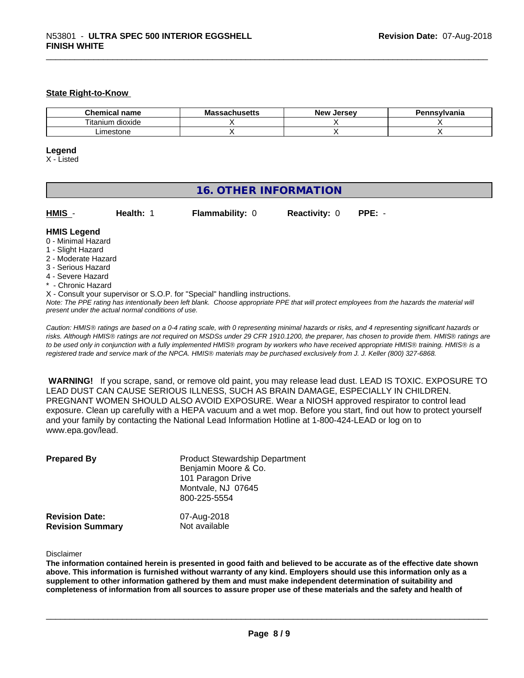#### **State Right-to-Know**

| <b>name</b><br>hemical<br>. | مللممسمات<br>Мi<br>แนจะแจ | <b>Jersev</b><br>Me <sup>v</sup> ∶ | าnsvlvania |
|-----------------------------|---------------------------|------------------------------------|------------|
| --<br>Titanium dioxide      |                           |                                    |            |
| imestone                    |                           |                                    |            |

#### **Legend**

X - Listed

# **16. OTHER INFORMATION**

| HMIS - | <b>Health:</b> 1 | <b>Flammability: 0</b> | <b>Reactivity: 0</b> | $PPE: -$ |
|--------|------------------|------------------------|----------------------|----------|

#### **HMIS Legend**

- 0 Minimal Hazard
- 1 Slight Hazard
- 2 Moderate Hazard
- 3 Serious Hazard
- 4 Severe Hazard
- **Chronic Hazard**
- X Consult your supervisor or S.O.P. for "Special" handling instructions.

*Note: The PPE rating has intentionally been left blank. Choose appropriate PPE that will protect employees from the hazards the material will present under the actual normal conditions of use.*

*Caution: HMISÒ ratings are based on a 0-4 rating scale, with 0 representing minimal hazards or risks, and 4 representing significant hazards or risks. Although HMISÒ ratings are not required on MSDSs under 29 CFR 1910.1200, the preparer, has chosen to provide them. HMISÒ ratings are to be used only in conjunction with a fully implemented HMISÒ program by workers who have received appropriate HMISÒ training. HMISÒ is a registered trade and service mark of the NPCA. HMISÒ materials may be purchased exclusively from J. J. Keller (800) 327-6868.*

 **WARNING!** If you scrape, sand, or remove old paint, you may release lead dust. LEAD IS TOXIC. EXPOSURE TO LEAD DUST CAN CAUSE SERIOUS ILLNESS, SUCH AS BRAIN DAMAGE, ESPECIALLY IN CHILDREN. PREGNANT WOMEN SHOULD ALSO AVOID EXPOSURE.Wear a NIOSH approved respirator to control lead exposure. Clean up carefully with a HEPA vacuum and a wet mop. Before you start, find out how to protect yourself and your family by contacting the National Lead Information Hotline at 1-800-424-LEAD or log on to www.epa.gov/lead.

| <b>Prepared By</b>                               | <b>Product Stewardship Department</b><br>Benjamin Moore & Co.<br>101 Paragon Drive<br>Montvale, NJ 07645<br>800-225-5554 |  |
|--------------------------------------------------|--------------------------------------------------------------------------------------------------------------------------|--|
| <b>Revision Date:</b><br><b>Revision Summary</b> | 07-Aug-2018<br>Not available                                                                                             |  |

Disclaimer

The information contained herein is presented in good faith and believed to be accurate as of the effective date shown above. This information is furnished without warranty of any kind. Emplovers should use this information only as a **supplement to other information gathered by them and must make independent determination of suitability and** completeness of information from all sources to assure proper use of these materials and the safety and health of